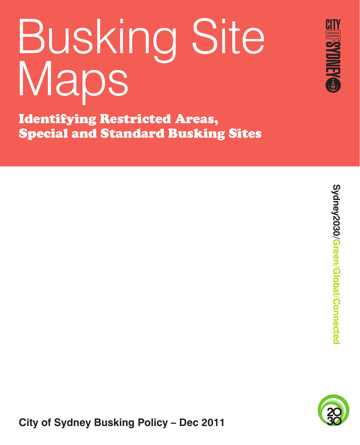# Busking Site Maps

Identifying Restricted Areas, Special and Standard Busking Sites



**OFSYDNEYS** 



**City of Sydney Busking Policy – Dec 2011**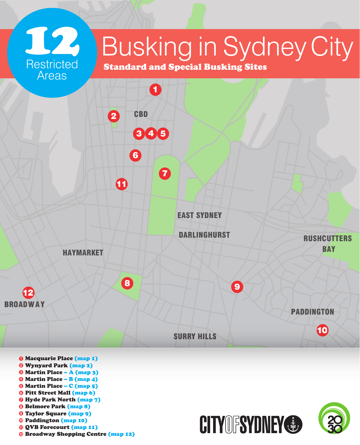

- Martin Place B (map 4)
- Martin Place C (map 5)
- Pitt Street Mall (map 6)
- Hyde Park North (map 7)
- Belmore Park (map 8)
- Taylor Square (map 9)
- Paddington (map 10)
- QVB Forecourt (map 11)
- Broadway Shopping Centre (map 12)

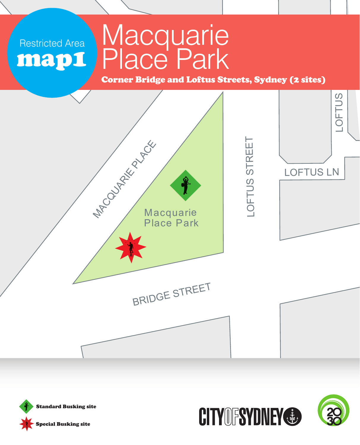# **Macquarie** Place Park

Corner Bridge and Loftus Streets, Sydney (2 sites)





Restricted Area

map1

Restricted Area



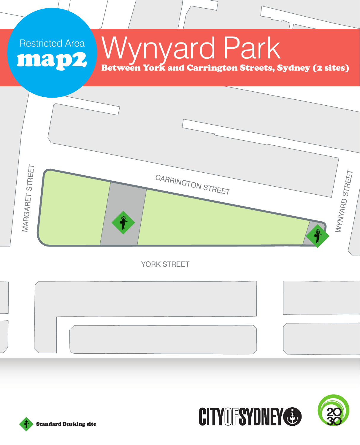# Wynyard Park Between York and Carrington Streets, Sydney (2 sites)

**MARGARET STREET** WYWARD STREET MARGARET STREET CARRINGTON STREET

YORK STREET





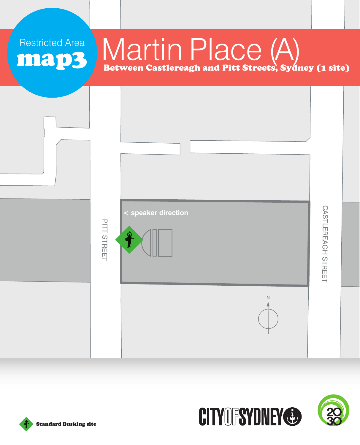# Martin Place (A) Between Castlereagh and Pitt Streets, Sydney (1 site)







Restricted Area

map3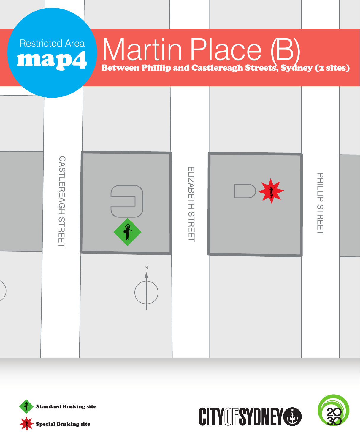# Martin Place (B) Between Phillip and Castlereagh Streets, Sydney (2 sites)





Restricted Area

map4

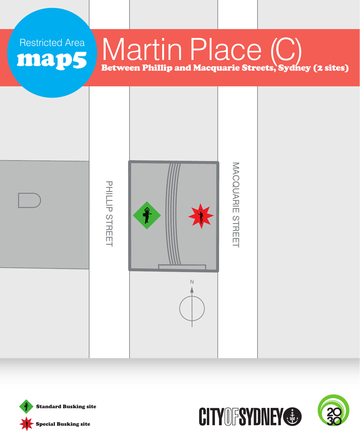#### Martin Place (C) Between Phillip and Macquarie Streets, Sydney (2 sites) map5





Restricted Area

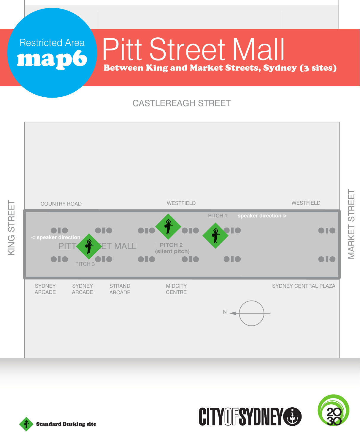# Pitt Street Mall Between King and Market Streets, Sydney (3 sites)

#### CASTLEREAGH STREET





MARKET STREET

**MARKET STREET** 

Standard Busking site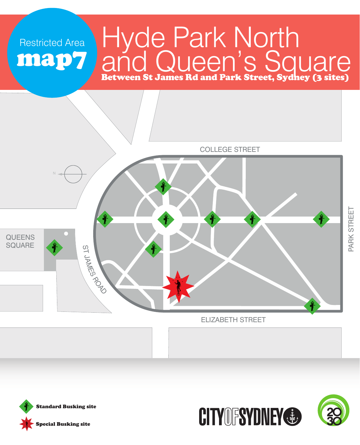#### Hyde Park North and Queen's Square Between St James Rd and Park Street, Sydney (3 sites) map7





Restricted Area

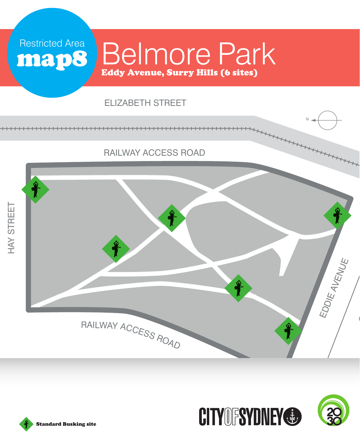# Belmore Park Eddy Avenue, Surry Hills (6 sites)

#### ELIZABETH STREET





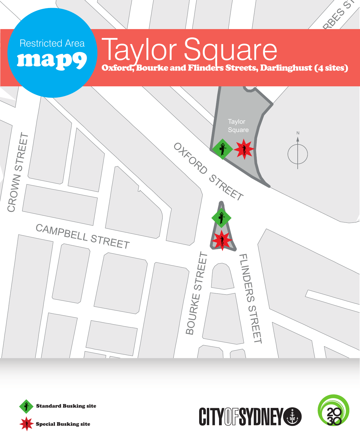# **Taylor Square**

Oxford, Bourke and Flinders Streets, Darlinghust (4 sites)

PRESS<sub>SS</sub>





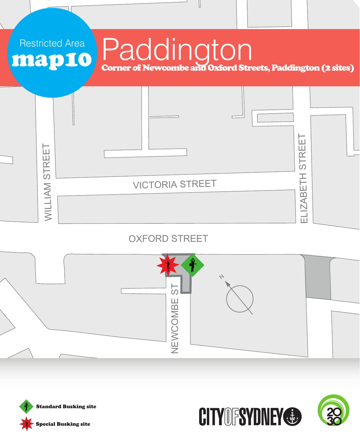

#### OXFORD STREET







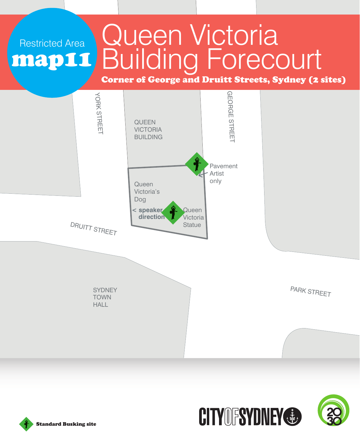#### Queen Victoria Building Forecourt Restricted Area map11

#### Corner of George and Druitt Streets, Sydney (2 sites)